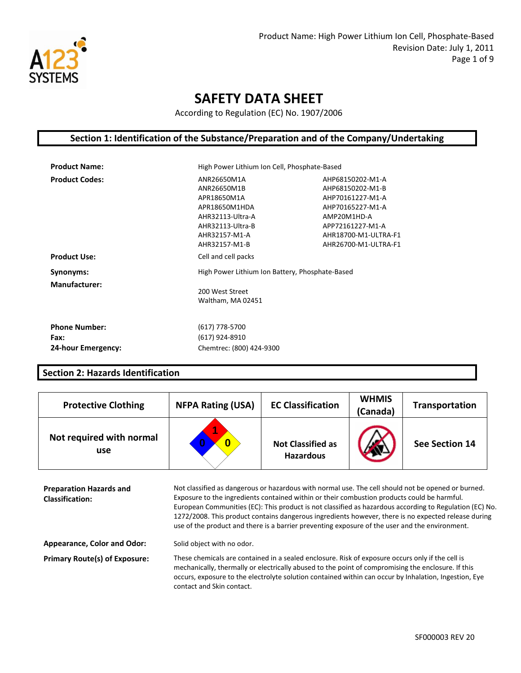

According to Regulation (EC) No. 1907/2006

### **Section 1: Identification of the Substance/Preparation and of the Company/Undertaking**

| <b>Product Name:</b>  | High Power Lithium Ion Cell, Phosphate-Based                                                                                         |                                                                                                                                                                 |
|-----------------------|--------------------------------------------------------------------------------------------------------------------------------------|-----------------------------------------------------------------------------------------------------------------------------------------------------------------|
| <b>Product Codes:</b> | ANR26650M1A<br>ANR26650M1B<br>APR18650M1A<br>APR18650M1HDA<br>AHR32113-Ultra-A<br>AHR32113-Ultra-B<br>AHR32157-M1-A<br>AHR32157-M1-B | AHP68150202-M1-A<br>AHP68150202-M1-B<br>AHP70161227-M1-A<br>AHP70165227-M1-A<br>AMP20M1HD-A<br>APP72161227-M1-A<br>AHR18700-M1-ULTRA-F1<br>AHR26700-M1-ULTRA-F1 |
| <b>Product Use:</b>   | Cell and cell packs                                                                                                                  |                                                                                                                                                                 |
| Synonyms:             | High Power Lithium Ion Battery, Phosphate-Based                                                                                      |                                                                                                                                                                 |
| <b>Manufacturer:</b>  | 200 West Street<br>Waltham, MA 02451                                                                                                 |                                                                                                                                                                 |
| <b>Phone Number:</b>  | (617) 778-5700                                                                                                                       |                                                                                                                                                                 |
| Fax:                  | (617) 924-8910                                                                                                                       |                                                                                                                                                                 |
| 24-hour Emergency:    | Chemtrec: (800) 424-9300                                                                                                             |                                                                                                                                                                 |

#### **Section 2: Hazards Identification**

| <b>Protective Clothing</b>      | <b>NFPA Rating (USA)</b> | <b>EC Classification</b>                     | <b>WHMIS</b><br>(Canada) | <b>Transportation</b> |
|---------------------------------|--------------------------|----------------------------------------------|--------------------------|-----------------------|
| Not required with normal<br>use | А<br>0                   | <b>Not Classified as</b><br><b>Hazardous</b> |                          | See Section 14        |

**Preparation Hazards and Classification:**  Not classified as dangerous or hazardous with normal use. The cell should not be opened or burned. Exposure to the ingredients contained within or their combustion products could be harmful. European Communities (EC): This product is not classified as hazardous according to Regulation (EC) No. 1272/2008. This product contains dangerous ingredients however, there is no expected release during use of the product and there is a barrier preventing exposure of the user and the environment.

Appearance, Color and Odor: Solid object with no odor.

**Primary Route(s) of Exposure:** These chemicals are contained in a sealed enclosure. Risk of exposure occurs only if the cell is mechanically, thermally or electrically abused to the point of compromising the enclosure. If this occurs, exposure to the electrolyte solution contained within can occur by Inhalation, Ingestion, Eye contact and Skin contact.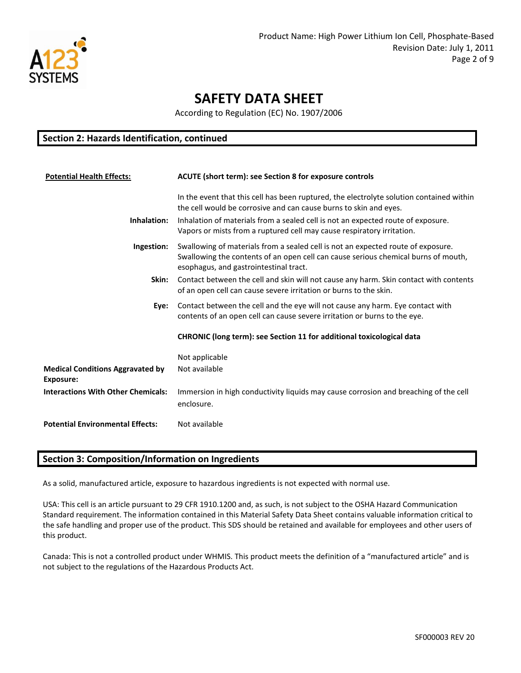

According to Regulation (EC) No. 1907/2006

#### **Section 2: Hazards Identification, continued**

| <b>Potential Health Effects:</b>                     | ACUTE (short term): see Section 8 for exposure controls                                                                                                                                                          |
|------------------------------------------------------|------------------------------------------------------------------------------------------------------------------------------------------------------------------------------------------------------------------|
|                                                      | In the event that this cell has been ruptured, the electrolyte solution contained within<br>the cell would be corrosive and can cause burns to skin and eyes.                                                    |
| Inhalation:                                          | Inhalation of materials from a sealed cell is not an expected route of exposure.<br>Vapors or mists from a ruptured cell may cause respiratory irritation.                                                       |
| Ingestion:                                           | Swallowing of materials from a sealed cell is not an expected route of exposure.<br>Swallowing the contents of an open cell can cause serious chemical burns of mouth,<br>esophagus, and gastrointestinal tract. |
| Skin:                                                | Contact between the cell and skin will not cause any harm. Skin contact with contents<br>of an open cell can cause severe irritation or burns to the skin.                                                       |
| Eye:                                                 | Contact between the cell and the eye will not cause any harm. Eye contact with<br>contents of an open cell can cause severe irritation or burns to the eye.                                                      |
|                                                      | CHRONIC (long term): see Section 11 for additional toxicological data                                                                                                                                            |
|                                                      | Not applicable                                                                                                                                                                                                   |
| <b>Medical Conditions Aggravated by</b><br>Exposure: | Not available                                                                                                                                                                                                    |
| <b>Interactions With Other Chemicals:</b>            | Immersion in high conductivity liquids may cause corrosion and breaching of the cell<br>enclosure.                                                                                                               |
| <b>Potential Environmental Effects:</b>              | Not available                                                                                                                                                                                                    |

### **Section 3: Composition/Information on Ingredients**

As a solid, manufactured article, exposure to hazardous ingredients is not expected with normal use.

USA: This cell is an article pursuant to 29 CFR 1910.1200 and, as such, is not subject to the OSHA Hazard Communication Standard requirement. The information contained in this Material Safety Data Sheet contains valuable information critical to the safe handling and proper use of the product. This SDS should be retained and available for employees and other users of this product.

Canada: This is not a controlled product under WHMIS. This product meets the definition of a "manufactured article" and is not subject to the regulations of the Hazardous Products Act.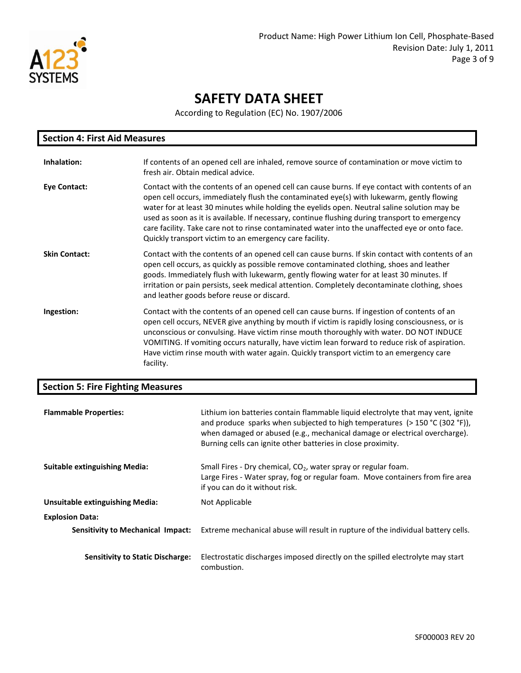

According to Regulation (EC) No. 1907/2006

| <b>Section 4: First Aid Measures</b> |                                                                                                                                                                                                                                                                                                                                                                                                                                                                                                                                                             |  |
|--------------------------------------|-------------------------------------------------------------------------------------------------------------------------------------------------------------------------------------------------------------------------------------------------------------------------------------------------------------------------------------------------------------------------------------------------------------------------------------------------------------------------------------------------------------------------------------------------------------|--|
| Inhalation:                          | If contents of an opened cell are inhaled, remove source of contamination or move victim to<br>fresh air. Obtain medical advice.                                                                                                                                                                                                                                                                                                                                                                                                                            |  |
| <b>Eye Contact:</b>                  | Contact with the contents of an opened cell can cause burns. If eye contact with contents of an<br>open cell occurs, immediately flush the contaminated eye(s) with lukewarm, gently flowing<br>water for at least 30 minutes while holding the eyelids open. Neutral saline solution may be<br>used as soon as it is available. If necessary, continue flushing during transport to emergency<br>care facility. Take care not to rinse contaminated water into the unaffected eye or onto face.<br>Quickly transport victim to an emergency care facility. |  |
| <b>Skin Contact:</b>                 | Contact with the contents of an opened cell can cause burns. If skin contact with contents of an<br>open cell occurs, as quickly as possible remove contaminated clothing, shoes and leather<br>goods. Immediately flush with lukewarm, gently flowing water for at least 30 minutes. If<br>irritation or pain persists, seek medical attention. Completely decontaminate clothing, shoes<br>and leather goods before reuse or discard.                                                                                                                     |  |
| Ingestion:                           | Contact with the contents of an opened cell can cause burns. If ingestion of contents of an<br>open cell occurs, NEVER give anything by mouth if victim is rapidly losing consciousness, or is<br>unconscious or convulsing. Have victim rinse mouth thoroughly with water. DO NOT INDUCE<br>VOMITING. If vomiting occurs naturally, have victim lean forward to reduce risk of aspiration.<br>Have victim rinse mouth with water again. Quickly transport victim to an emergency care<br>facility.                                                         |  |

### **Section 5: Fire Fighting Measures**

| <b>Flammable Properties:</b>             | Lithium ion batteries contain flammable liquid electrolyte that may vent, ignite<br>and produce sparks when subjected to high temperatures ( $>$ 150 °C (302 °F)),<br>when damaged or abused (e.g., mechanical damage or electrical overcharge).<br>Burning cells can ignite other batteries in close proximity. |
|------------------------------------------|------------------------------------------------------------------------------------------------------------------------------------------------------------------------------------------------------------------------------------------------------------------------------------------------------------------|
| <b>Suitable extinguishing Media:</b>     | Small Fires - Dry chemical, $CO2$ , water spray or regular foam.<br>Large Fires - Water spray, fog or regular foam. Move containers from fire area<br>if you can do it without risk.                                                                                                                             |
| <b>Unsuitable extinguishing Media:</b>   | Not Applicable                                                                                                                                                                                                                                                                                                   |
| <b>Explosion Data:</b>                   |                                                                                                                                                                                                                                                                                                                  |
| <b>Sensitivity to Mechanical Impact:</b> | Extreme mechanical abuse will result in rupture of the individual battery cells.                                                                                                                                                                                                                                 |
| <b>Sensitivity to Static Discharge:</b>  | Electrostatic discharges imposed directly on the spilled electrolyte may start<br>combustion.                                                                                                                                                                                                                    |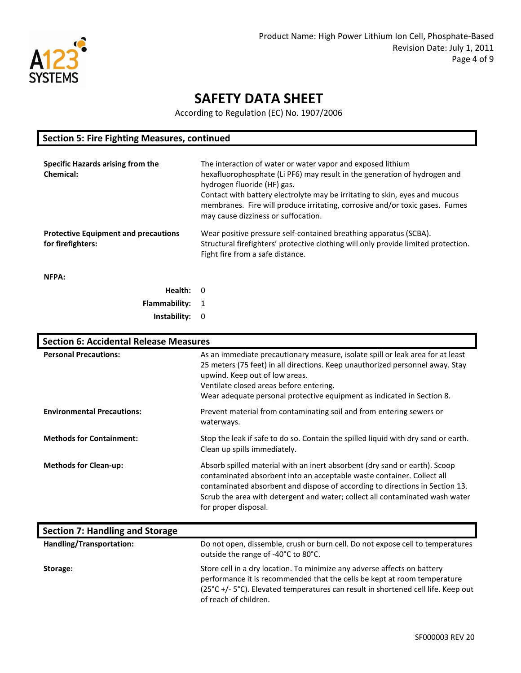

According to Regulation (EC) No. 1907/2006

| <b>Section 5: Fire Fighting Measures, continued</b>              |                                                                                                                                                                                                                                                                                                                                                                               |  |
|------------------------------------------------------------------|-------------------------------------------------------------------------------------------------------------------------------------------------------------------------------------------------------------------------------------------------------------------------------------------------------------------------------------------------------------------------------|--|
| Specific Hazards arising from the<br><b>Chemical:</b>            | The interaction of water or water vapor and exposed lithium<br>hexafluorophosphate (Li PF6) may result in the generation of hydrogen and<br>hydrogen fluoride (HF) gas.<br>Contact with battery electrolyte may be irritating to skin, eyes and mucous<br>membranes. Fire will produce irritating, corrosive and/or toxic gases. Fumes<br>may cause dizziness or suffocation. |  |
| <b>Protective Equipment and precautions</b><br>for firefighters: | Wear positive pressure self-contained breathing apparatus (SCBA).<br>Structural firefighters' protective clothing will only provide limited protection.<br>Fight fire from a safe distance.                                                                                                                                                                                   |  |
| NFPA:                                                            |                                                                                                                                                                                                                                                                                                                                                                               |  |
| Health:                                                          | - 0                                                                                                                                                                                                                                                                                                                                                                           |  |
| Flammability:                                                    |                                                                                                                                                                                                                                                                                                                                                                               |  |

**Instability:** 0

| <b>Section 6: Accidental Release Measures</b> |                                                                                                                                                                                                                                                                                                                                              |
|-----------------------------------------------|----------------------------------------------------------------------------------------------------------------------------------------------------------------------------------------------------------------------------------------------------------------------------------------------------------------------------------------------|
| <b>Personal Precautions:</b>                  | As an immediate precautionary measure, isolate spill or leak area for at least<br>25 meters (75 feet) in all directions. Keep unauthorized personnel away. Stay<br>upwind. Keep out of low areas.<br>Ventilate closed areas before entering.<br>Wear adequate personal protective equipment as indicated in Section 8.                       |
| <b>Environmental Precautions:</b>             | Prevent material from contaminating soil and from entering sewers or<br>waterways.                                                                                                                                                                                                                                                           |
| <b>Methods for Containment:</b>               | Stop the leak if safe to do so. Contain the spilled liquid with dry sand or earth.<br>Clean up spills immediately.                                                                                                                                                                                                                           |
| <b>Methods for Clean-up:</b>                  | Absorb spilled material with an inert absorbent (dry sand or earth). Scoop<br>contaminated absorbent into an acceptable waste container. Collect all<br>contaminated absorbent and dispose of according to directions in Section 13.<br>Scrub the area with detergent and water; collect all contaminated wash water<br>for proper disposal. |
| <b>Section 7: Handling and Storage</b>        |                                                                                                                                                                                                                                                                                                                                              |
| Handling/Transportation:                      | Do not open, dissemble, crush or burn cell. Do not expose cell to temperatures<br>outside the range of -40°C to 80°C.                                                                                                                                                                                                                        |

**Storage:** Store cell in a dry location. To minimize any adverse affects on battery

(25°C +/- 5°C). Elevated temperatures can result in shortened cell life. Keep out of reach of children.

performance it is recommended that the cells be kept at room temperature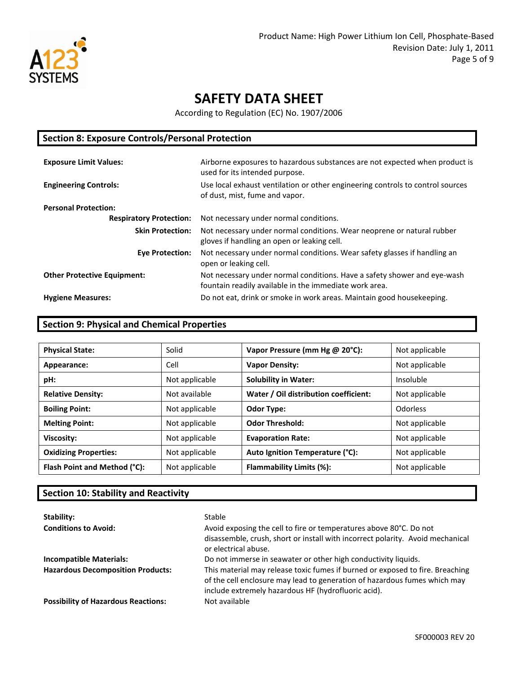

According to Regulation (EC) No. 1907/2006

| <b>Section 8: Exposure Controls/Personal Protection</b> |                                                                                                                                    |  |
|---------------------------------------------------------|------------------------------------------------------------------------------------------------------------------------------------|--|
| <b>Exposure Limit Values:</b>                           | Airborne exposures to hazardous substances are not expected when product is                                                        |  |
|                                                         | used for its intended purpose.                                                                                                     |  |
| <b>Engineering Controls:</b>                            | Use local exhaust ventilation or other engineering controls to control sources<br>of dust, mist, fume and vapor.                   |  |
| <b>Personal Protection:</b>                             |                                                                                                                                    |  |
| <b>Respiratory Protection:</b>                          | Not necessary under normal conditions.                                                                                             |  |
| <b>Skin Protection:</b>                                 | Not necessary under normal conditions. Wear neoprene or natural rubber<br>gloves if handling an open or leaking cell.              |  |
| <b>Eve Protection:</b>                                  | Not necessary under normal conditions. Wear safety glasses if handling an<br>open or leaking cell.                                 |  |
| <b>Other Protective Equipment:</b>                      | Not necessary under normal conditions. Have a safety shower and eye-wash<br>fountain readily available in the immediate work area. |  |
| <b>Hygiene Measures:</b>                                | Do not eat, drink or smoke in work areas. Maintain good housekeeping.                                                              |  |

### **Section 9: Physical and Chemical Properties**

| <b>Physical State:</b>       | Solid          | Vapor Pressure (mm Hg @ 20°C):        | Not applicable |
|------------------------------|----------------|---------------------------------------|----------------|
| Appearance:                  | Cell           | <b>Vapor Density:</b>                 | Not applicable |
| pH:                          | Not applicable | <b>Solubility in Water:</b>           | Insoluble      |
| <b>Relative Density:</b>     | Not available  | Water / Oil distribution coefficient: | Not applicable |
| <b>Boiling Point:</b>        | Not applicable | <b>Odor Type:</b>                     | Odorless       |
| <b>Melting Point:</b>        | Not applicable | <b>Odor Threshold:</b>                | Not applicable |
| Viscosity:                   | Not applicable | <b>Evaporation Rate:</b>              | Not applicable |
| <b>Oxidizing Properties:</b> | Not applicable | Auto Ignition Temperature (°C):       | Not applicable |
| Flash Point and Method (°C): | Not applicable | Flammability Limits (%):              | Not applicable |

### **Section 10: Stability and Reactivity**

| Stability:<br><b>Conditions to Avoid:</b>  | Stable<br>Avoid exposing the cell to fire or temperatures above 80°C. Do not<br>disassemble, crush, short or install with incorrect polarity. Avoid mechanical<br>or electrical abuse.                            |
|--------------------------------------------|-------------------------------------------------------------------------------------------------------------------------------------------------------------------------------------------------------------------|
| <b>Incompatible Materials:</b>             | Do not immerse in seawater or other high conductivity liquids.                                                                                                                                                    |
| <b>Hazardous Decomposition Products:</b>   | This material may release toxic fumes if burned or exposed to fire. Breaching<br>of the cell enclosure may lead to generation of hazardous fumes which may<br>include extremely hazardous HF (hydrofluoric acid). |
| <b>Possibility of Hazardous Reactions:</b> | Not available                                                                                                                                                                                                     |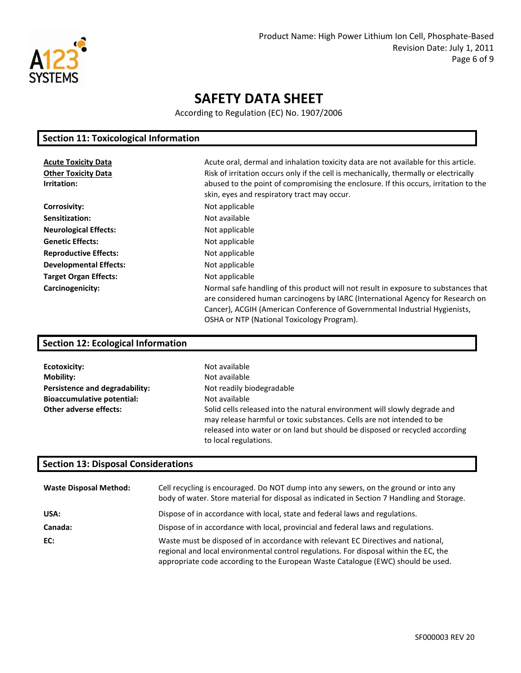

According to Regulation (EC) No. 1907/2006

### **Section 11: Toxicological Information**

| <b>Acute Toxicity Data</b><br><b>Other Toxicity Data</b><br>Irritation: | Acute oral, dermal and inhalation toxicity data are not available for this article.<br>Risk of irritation occurs only if the cell is mechanically, thermally or electrically<br>abused to the point of compromising the enclosure. If this occurs, irritation to the<br>skin, eyes and respiratory tract may occur. |
|-------------------------------------------------------------------------|---------------------------------------------------------------------------------------------------------------------------------------------------------------------------------------------------------------------------------------------------------------------------------------------------------------------|
| <b>Corrosivity:</b>                                                     | Not applicable                                                                                                                                                                                                                                                                                                      |
| Sensitization:                                                          | Not available                                                                                                                                                                                                                                                                                                       |
| <b>Neurological Effects:</b>                                            | Not applicable                                                                                                                                                                                                                                                                                                      |
| <b>Genetic Effects:</b>                                                 | Not applicable                                                                                                                                                                                                                                                                                                      |
| <b>Reproductive Effects:</b>                                            | Not applicable                                                                                                                                                                                                                                                                                                      |
| <b>Developmental Effects:</b>                                           | Not applicable                                                                                                                                                                                                                                                                                                      |
| <b>Target Organ Effects:</b>                                            | Not applicable                                                                                                                                                                                                                                                                                                      |
| Carcinogenicity:                                                        | Normal safe handling of this product will not result in exposure to substances that<br>are considered human carcinogens by IARC (International Agency for Research on<br>Cancer), ACGIH (American Conference of Governmental Industrial Hygienists,<br>OSHA or NTP (National Toxicology Program).                   |

### **Section 12: Ecological Information**

| Ecotoxicity:                      | Not available                                                               |
|-----------------------------------|-----------------------------------------------------------------------------|
| <b>Mobility:</b>                  | Not available                                                               |
| Persistence and degradability:    | Not readily biodegradable                                                   |
| <b>Bioaccumulative potential:</b> | Not available                                                               |
| <b>Other adverse effects:</b>     | Solid cells released into the natural environment will slowly degrade and   |
|                                   | may release harmful or toxic substances. Cells are not intended to be       |
|                                   | released into water or on land but should be disposed or recycled according |
|                                   | to local regulations.                                                       |

### **Section 13: Disposal Considerations**

| <b>Waste Disposal Method:</b> | Cell recycling is encouraged. Do NOT dump into any sewers, on the ground or into any<br>body of water. Store material for disposal as indicated in Section 7 Handling and Storage.                                                                             |
|-------------------------------|----------------------------------------------------------------------------------------------------------------------------------------------------------------------------------------------------------------------------------------------------------------|
| USA:                          | Dispose of in accordance with local, state and federal laws and regulations.                                                                                                                                                                                   |
| Canada:                       | Dispose of in accordance with local, provincial and federal laws and regulations.                                                                                                                                                                              |
| EC:                           | Waste must be disposed of in accordance with relevant EC Directives and national,<br>regional and local environmental control regulations. For disposal within the EC, the<br>appropriate code according to the European Waste Catalogue (EWC) should be used. |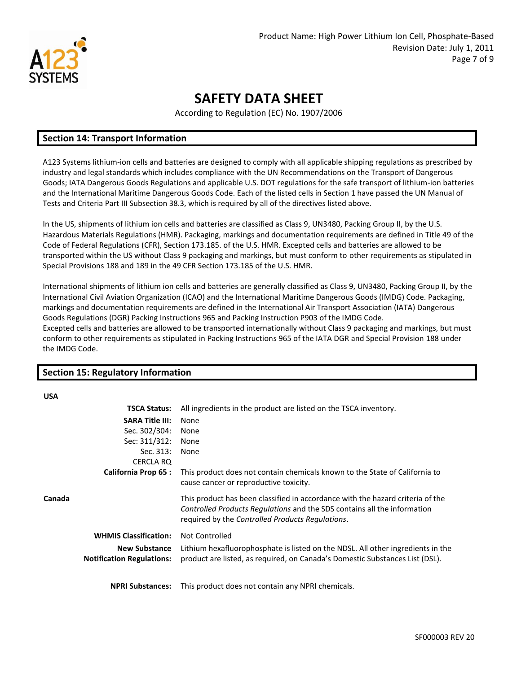

According to Regulation (EC) No. 1907/2006

#### **Section 14: Transport Information**

A123 Systems lithium-ion cells and batteries are designed to comply with all applicable shipping regulations as prescribed by industry and legal standards which includes compliance with the UN Recommendations on the Transport of Dangerous Goods; IATA Dangerous Goods Regulations and applicable U.S. DOT regulations for the safe transport of lithium-ion batteries and the International Maritime Dangerous Goods Code. Each of the listed cells in Section 1 have passed the UN Manual of Tests and Criteria Part III Subsection 38.3, which is required by all of the directives listed above.

In the US, shipments of lithium ion cells and batteries are classified as Class 9, UN3480, Packing Group II, by the U.S. Hazardous Materials Regulations (HMR). Packaging, markings and documentation requirements are defined in Title 49 of the Code of Federal Regulations (CFR), Section 173.185. of the U.S. HMR. Excepted cells and batteries are allowed to be transported within the US without Class 9 packaging and markings, but must conform to other requirements as stipulated in Special Provisions 188 and 189 in the 49 CFR Section 173.185 of the U.S. HMR.

International shipments of lithium ion cells and batteries are generally classified as Class 9, UN3480, Packing Group II, by the International Civil Aviation Organization (ICAO) and the International Maritime Dangerous Goods (IMDG) Code. Packaging, markings and documentation requirements are defined in the International Air Transport Association (IATA) Dangerous Goods Regulations (DGR) Packing Instructions 965 and Packing Instruction P903 of the IMDG Code. Excepted cells and batteries are allowed to be transported internationally without Class 9 packaging and markings, but must conform to other requirements as stipulated in Packing Instructions 965 of the IATA DGR and Special Provision 188 under the IMDG Code.

#### **Section 15: Regulatory Information USA TSCA Status:** All ingredients in the product are listed on the TSCA inventory. **SARA Title III:**  Sec. 302/304: Sec: 311/312: Sec. 313: CERCLA RQ None None None None **California Prop 65 :** This product does not contain chemicals known to the State of California to cause cancer or reproductive toxicity. **Canada** This product has been classified in accordance with the hazard criteria of the *Controlled Products Regulations* and the SDS contains all the information required by the *Controlled Products Regulations*. **WHMIS Classification:** Not Controlled **New Substance Notification Regulations:** Lithium hexafluorophosphate is listed on the NDSL. All other ingredients in the product are listed, as required, on Canada's Domestic Substances List (DSL). **NPRI Substances:** This product does not contain any NPRI chemicals.

SF000003 REV 20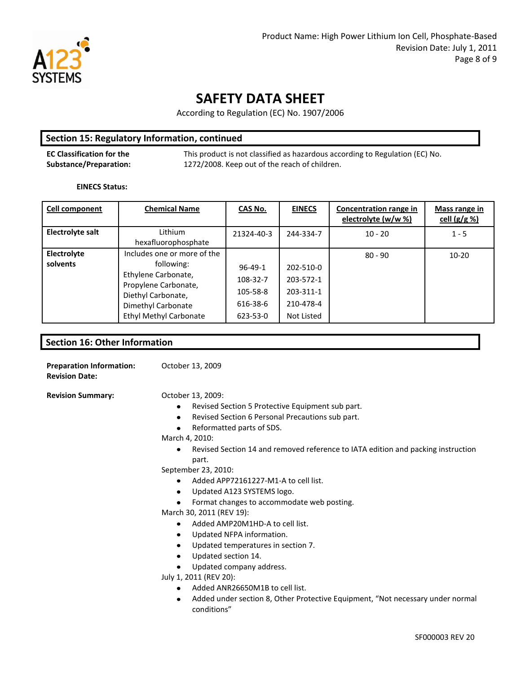

According to Regulation (EC) No. 1907/2006

#### **Section 15: Regulatory Information, continued**

**EC Classification for the Substance/Preparation:**  This product is not classified as hazardous according to Regulation (EC) No. 1272/2008. Keep out of the reach of children.

#### **EINECS Status:**

| <b>Cell component</b>   | <b>Chemical Name</b>                                                                                                                                                  | CAS No.                                                       | <b>EINECS</b>                                                  | Concentration range in<br>electrolyte (w/w %) | <b>Mass range in</b><br>cell $(g/g \% )$ |
|-------------------------|-----------------------------------------------------------------------------------------------------------------------------------------------------------------------|---------------------------------------------------------------|----------------------------------------------------------------|-----------------------------------------------|------------------------------------------|
| Electrolyte salt        | Lithium<br>hexafluorophosphate                                                                                                                                        | 21324-40-3                                                    | 244-334-7                                                      | $10 - 20$                                     | $1 - 5$                                  |
| Electrolyte<br>solvents | Includes one or more of the<br>following:<br>Ethylene Carbonate,<br>Propylene Carbonate,<br>Diethyl Carbonate,<br>Dimethyl Carbonate<br><b>Ethyl Methyl Carbonate</b> | $96 - 49 - 1$<br>108-32-7<br>105-58-8<br>616-38-6<br>623-53-0 | 202-510-0<br>203-572-1<br>203-311-1<br>210-478-4<br>Not Listed | $80 - 90$                                     | $10 - 20$                                |

**Section 16: Other Information**

**Preparation Information:**  October 13, 2009 **Revision Date: Revision Summary: CED** October 13, 2009:  $\bullet$ Revised Section 5 Protective Equipment sub part.  $\bullet$ Revised Section 6 Personal Precautions sub part. Reformatted parts of SDS.  $\bullet$ March 4, 2010: Revised Section 14 and removed reference to IATA edition and packing instruction  $\bullet$ part. September 23, 2010: Added APP72161227-M1-A to cell list.  $\bullet$ Updated A123 SYSTEMS logo.  $\bullet$ Format changes to accommodate web posting. March 30, 2011 (REV 19): Added AMP20M1HD-A to cell list.  $\bullet$ Updated NFPA information.  $\bullet$  $\bullet$ Updated temperatures in section 7.  $\bullet$ Updated section 14. Updated company address. July 1, 2011 (REV 20): Added ANR26650M1B to cell list.  $\bullet$ 

 $\bullet$ Added under section 8, Other Protective Equipment, "Not necessary under normal conditions"